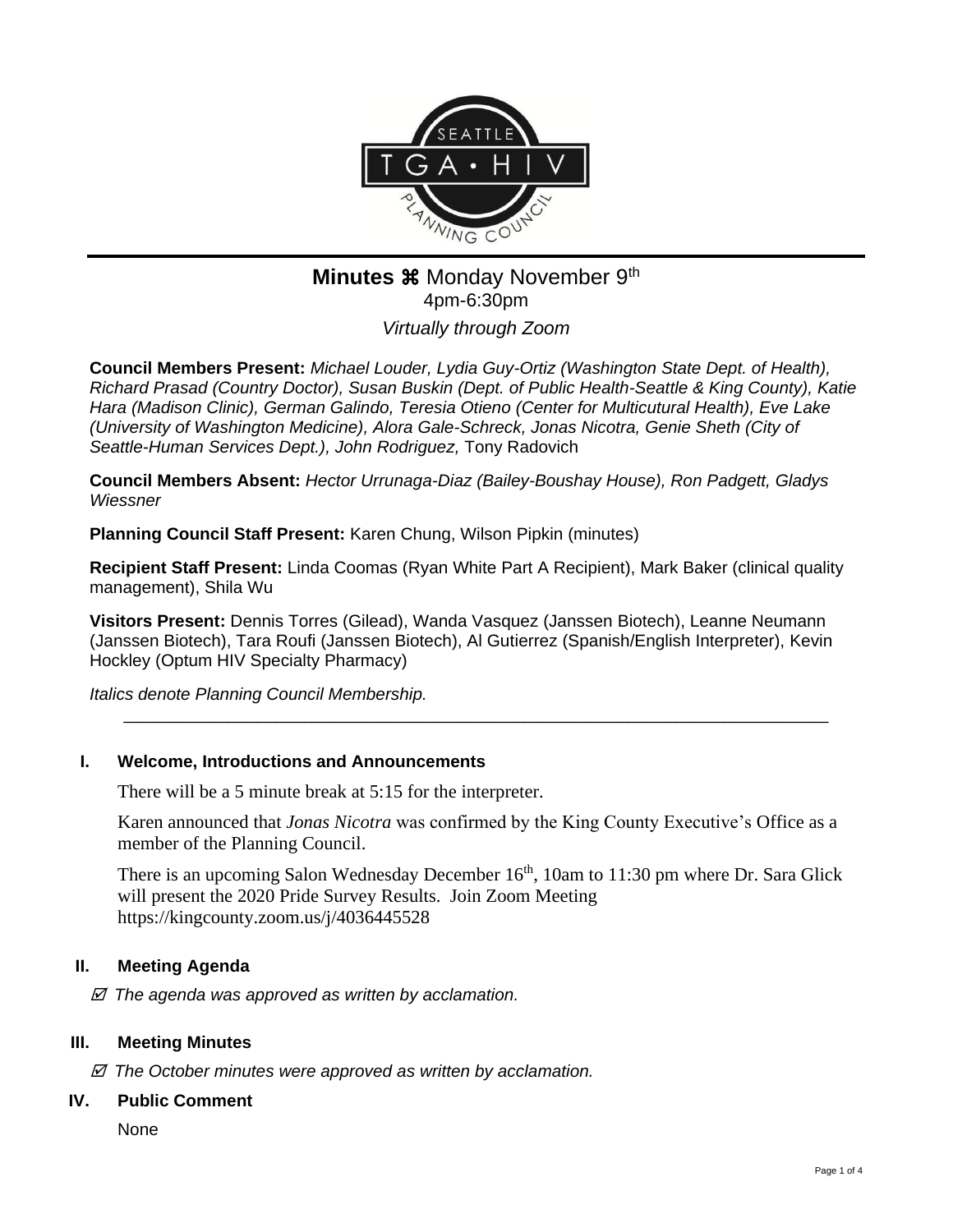

# **Minutes**  $\mathbb{R}$  Monday November 9<sup>th</sup> 4pm-6:30pm

*Virtually through Zoom*

**Council Members Present:** *Michael Louder, Lydia Guy-Ortiz (Washington State Dept. of Health), Richard Prasad (Country Doctor), Susan Buskin (Dept. of Public Health-Seattle & King County), Katie Hara (Madison Clinic), German Galindo, Teresia Otieno (Center for Multicutural Health), Eve Lake (University of Washington Medicine), Alora Gale-Schreck, Jonas Nicotra, Genie Sheth (City of Seattle-Human Services Dept.), John Rodriguez,* Tony Radovich

**Council Members Absent:** *Hector Urrunaga-Diaz (Bailey-Boushay House), Ron Padgett, Gladys Wiessner* 

**Planning Council Staff Present:** Karen Chung, Wilson Pipkin (minutes)

**Recipient Staff Present:** Linda Coomas (Ryan White Part A Recipient), Mark Baker (clinical quality management), Shila Wu

**Visitors Present:** Dennis Torres (Gilead), Wanda Vasquez (Janssen Biotech), Leanne Neumann (Janssen Biotech), Tara Roufi (Janssen Biotech), Al Gutierrez (Spanish/English Interpreter), Kevin Hockley (Optum HIV Specialty Pharmacy)

*Italics denote Planning Council Membership.* 

### **I. Welcome, Introductions and Announcements**

There will be a 5 minute break at 5:15 for the interpreter.

Karen announced that *Jonas Nicotra* was confirmed by the King County Executive's Office as a member of the Planning Council.

\_\_\_\_\_\_\_\_\_\_\_\_\_\_\_\_\_\_\_\_\_\_\_\_\_\_\_\_\_\_\_\_\_\_\_\_\_\_\_\_\_\_\_\_\_\_\_\_\_\_\_\_\_\_\_\_\_\_\_\_\_\_\_\_\_\_\_\_\_\_\_\_\_\_

There is an upcoming Salon Wednesday December 16<sup>th</sup>, 10am to 11:30 pm where Dr. Sara Glick will present the 2020 Pride Survey Results. Join Zoom Meeting https://kingcounty.zoom.us/j/4036445528

### **II. Meeting Agenda**

 *The agenda was approved as written by acclamation.*

### **III. Meeting Minutes**

 *The October minutes were approved as written by acclamation.*

### **IV. Public Comment**

**None**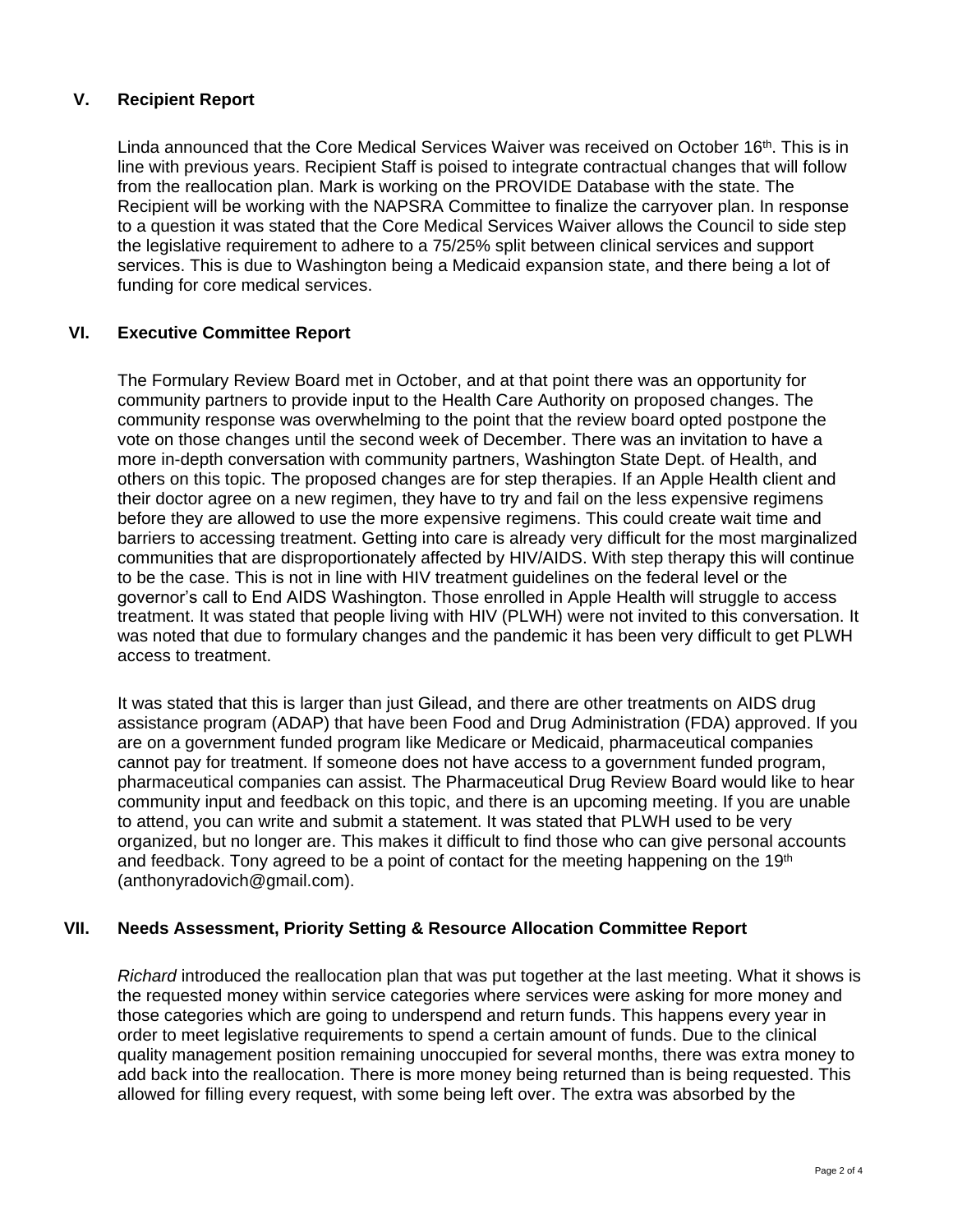### **V. Recipient Report**

Linda announced that the Core Medical Services Waiver was received on October 16<sup>th</sup>. This is in line with previous years. Recipient Staff is poised to integrate contractual changes that will follow from the reallocation plan. Mark is working on the PROVIDE Database with the state. The Recipient will be working with the NAPSRA Committee to finalize the carryover plan. In response to a question it was stated that the Core Medical Services Waiver allows the Council to side step the legislative requirement to adhere to a 75/25% split between clinical services and support services. This is due to Washington being a Medicaid expansion state, and there being a lot of funding for core medical services.

## **VI. Executive Committee Report**

The Formulary Review Board met in October, and at that point there was an opportunity for community partners to provide input to the Health Care Authority on proposed changes. The community response was overwhelming to the point that the review board opted postpone the vote on those changes until the second week of December. There was an invitation to have a more in-depth conversation with community partners, Washington State Dept. of Health, and others on this topic. The proposed changes are for step therapies. If an Apple Health client and their doctor agree on a new regimen, they have to try and fail on the less expensive regimens before they are allowed to use the more expensive regimens. This could create wait time and barriers to accessing treatment. Getting into care is already very difficult for the most marginalized communities that are disproportionately affected by HIV/AIDS. With step therapy this will continue to be the case. This is not in line with HIV treatment guidelines on the federal level or the governor's call to End AIDS Washington. Those enrolled in Apple Health will struggle to access treatment. It was stated that people living with HIV (PLWH) were not invited to this conversation. It was noted that due to formulary changes and the pandemic it has been very difficult to get PLWH access to treatment.

It was stated that this is larger than just Gilead, and there are other treatments on AIDS drug assistance program (ADAP) that have been Food and Drug Administration (FDA) approved. If you are on a government funded program like Medicare or Medicaid, pharmaceutical companies cannot pay for treatment. If someone does not have access to a government funded program, pharmaceutical companies can assist. The Pharmaceutical Drug Review Board would like to hear community input and feedback on this topic, and there is an upcoming meeting. If you are unable to attend, you can write and submit a statement. It was stated that PLWH used to be very organized, but no longer are. This makes it difficult to find those who can give personal accounts and feedback. Tony agreed to be a point of contact for the meeting happening on the  $19<sup>th</sup>$ (anthonyradovich@gmail.com).

### **VII. Needs Assessment, Priority Setting & Resource Allocation Committee Report**

*Richard* introduced the reallocation plan that was put together at the last meeting. What it shows is the requested money within service categories where services were asking for more money and those categories which are going to underspend and return funds. This happens every year in order to meet legislative requirements to spend a certain amount of funds. Due to the clinical quality management position remaining unoccupied for several months, there was extra money to add back into the reallocation. There is more money being returned than is being requested. This allowed for filling every request, with some being left over. The extra was absorbed by the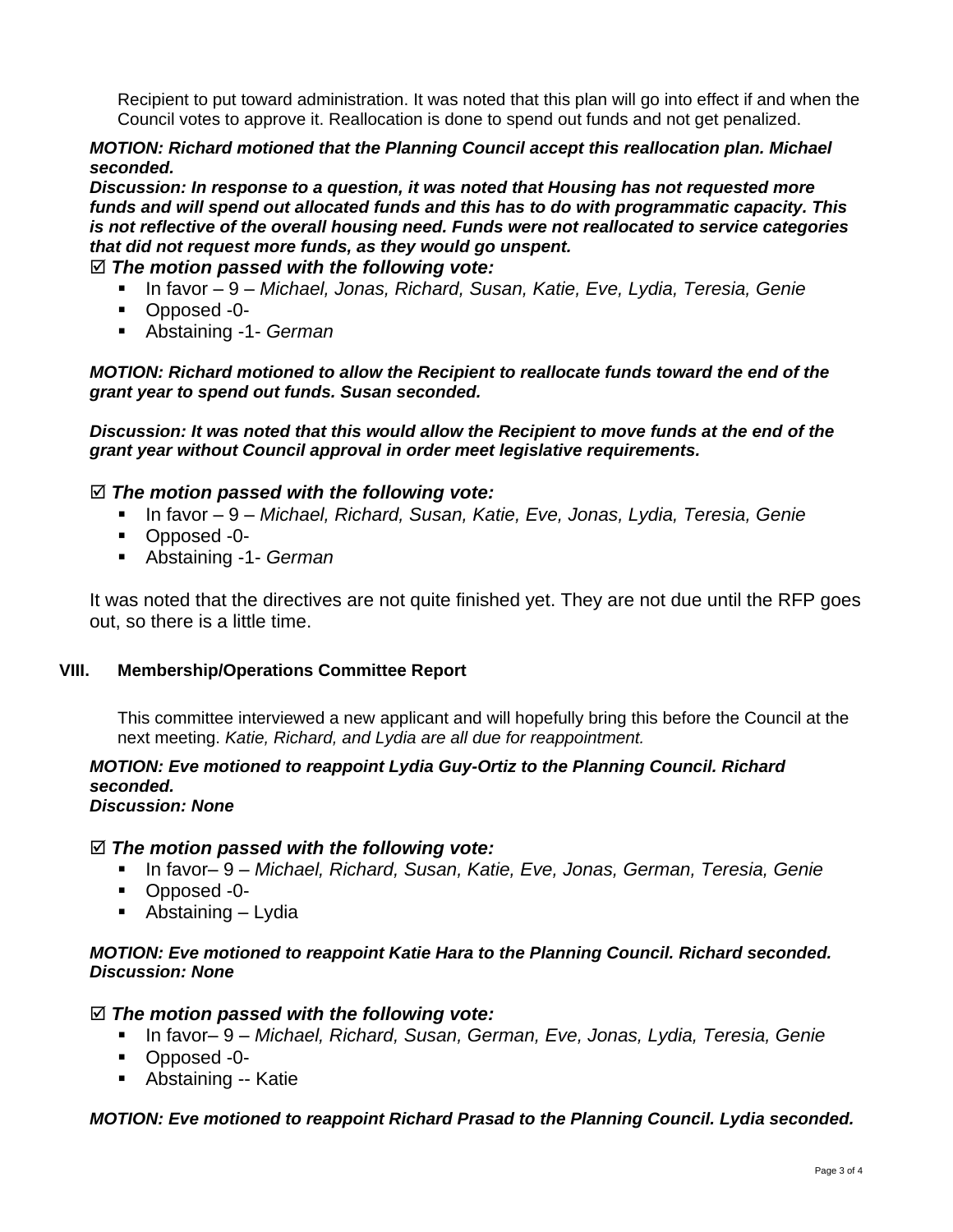Recipient to put toward administration. It was noted that this plan will go into effect if and when the Council votes to approve it. Reallocation is done to spend out funds and not get penalized.

### *MOTION: Richard motioned that the Planning Council accept this reallocation plan. Michael seconded.*

*Discussion: In response to a question, it was noted that Housing has not requested more funds and will spend out allocated funds and this has to do with programmatic capacity. This is not reflective of the overall housing need. Funds were not reallocated to service categories that did not request more funds, as they would go unspent.*

# *The motion passed with the following vote:*

- In favor 9 *Michael, Jonas, Richard, Susan, Katie, Eve, Lydia, Teresia, Genie*
- Opposed -0-
- Abstaining -1- *German*

*MOTION: Richard motioned to allow the Recipient to reallocate funds toward the end of the grant year to spend out funds. Susan seconded.*

*Discussion: It was noted that this would allow the Recipient to move funds at the end of the grant year without Council approval in order meet legislative requirements.*

### *The motion passed with the following vote:*

- In favor 9 *Michael, Richard, Susan, Katie, Eve, Jonas, Lydia, Teresia, Genie*
- Opposed -0-
- Abstaining -1- *German*

It was noted that the directives are not quite finished yet. They are not due until the RFP goes out, so there is a little time.

### **VIII. Membership/Operations Committee Report**

This committee interviewed a new applicant and will hopefully bring this before the Council at the next meeting. *Katie, Richard, and Lydia are all due for reappointment.* 

# *MOTION: Eve motioned to reappoint Lydia Guy-Ortiz to the Planning Council. Richard seconded.*

# *Discussion: None*

### *The motion passed with the following vote:*

- In favor– 9 *Michael, Richard, Susan, Katie, Eve, Jonas, German, Teresia, Genie*
- Opposed -0-
- $\blacksquare$  Abstaining Lydia

### *MOTION: Eve motioned to reappoint Katie Hara to the Planning Council. Richard seconded. Discussion: None*

### *The motion passed with the following vote:*

- In favor– 9 *Michael, Richard, Susan, German, Eve, Jonas, Lydia, Teresia, Genie*
- Opposed -0-
- Abstaining -- Katie

### *MOTION: Eve motioned to reappoint Richard Prasad to the Planning Council. Lydia seconded.*